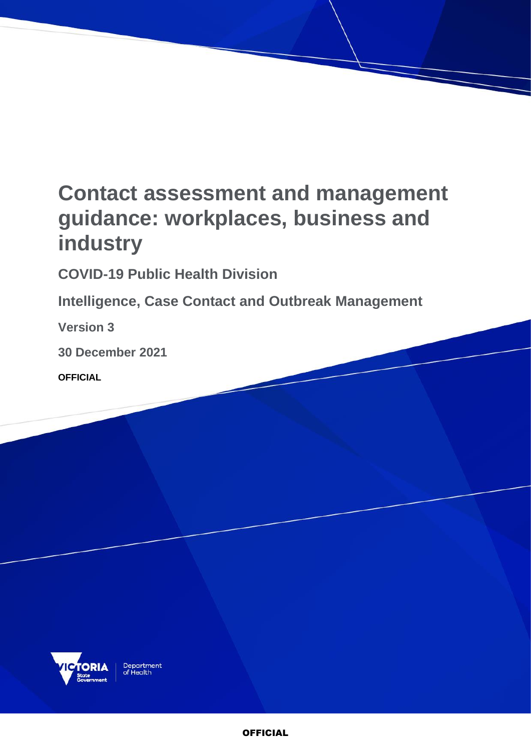# **Contact assessment and management guidance: workplaces, business and industry**

**COVID-19 Public Health Division** 

**Intelligence, Case Contact and Outbreak Management**

**Version 3**

**30 December 2021**

**OFFICIAL**

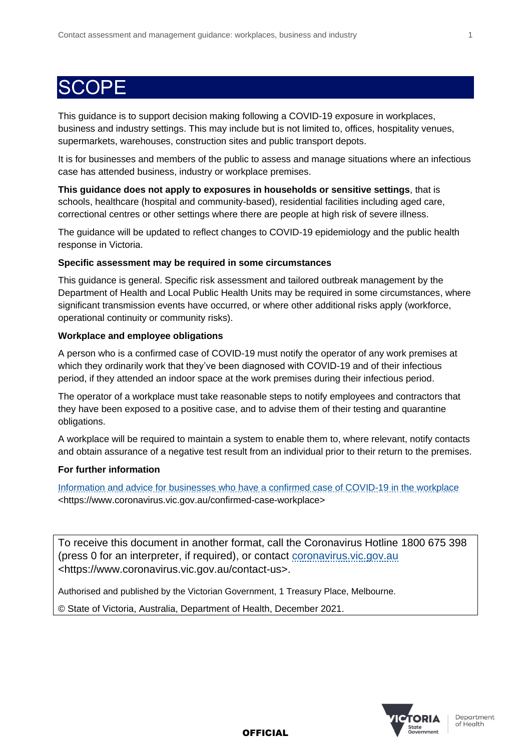### **SCOPE**

This guidance is to support decision making following a COVID-19 exposure in workplaces, business and industry settings. This may include but is not limited to, offices, hospitality venues, supermarkets, warehouses, construction sites and public transport depots.

It is for businesses and members of the public to assess and manage situations where an infectious case has attended business, industry or workplace premises.

**This guidance does not apply to exposures in households or sensitive settings**, that is schools, healthcare (hospital and community-based), residential facilities including aged care, correctional centres or other settings where there are people at high risk of severe illness.

The guidance will be updated to reflect changes to COVID-19 epidemiology and the public health response in Victoria.

#### **Specific assessment may be required in some circumstances**

This guidance is general. Specific risk assessment and tailored outbreak management by the Department of Health and Local Public Health Units may be required in some circumstances, where significant transmission events have occurred, or where other additional risks apply (workforce, operational continuity or community risks).

### **Workplace and employee obligations**

A person who is a confirmed case of COVID-19 must notify the operator of any work premises at which they ordinarily work that they've been diagnosed with COVID-19 and of their infectious period, if they attended an indoor space at the work premises during their infectious period.

The operator of a workplace must take reasonable steps to notify employees and contractors that they have been exposed to a positive case, and to advise them of their testing and quarantine obligations.

A workplace will be required to maintain a system to enable them to, where relevant, notify contacts and obtain assurance of a negative test result from an individual prior to their return to the premises.

### **For further information**

[Information and advice for businesses who have a confirmed case of COVID-19 in the workplace](https://www.coronavirus.vic.gov.au/confirmed-case-workplace) <https://www.coronavirus.vic.gov.au/confirmed-case-workplace>

To receive this document in another format, call the Coronavirus Hotline 1800 675 398 (press 0 for an interpreter, if required), or contact [coronavirus.vic.gov.au](https://www.coronavirus.vic.gov.au/contact-us) <https://www.coronavirus.vic.gov.au/contact-us>.

Authorised and published by the Victorian Government, 1 Treasury Place, Melbourne.

© State of Victoria, Australia, Department of Health, December 2021.



Department of Health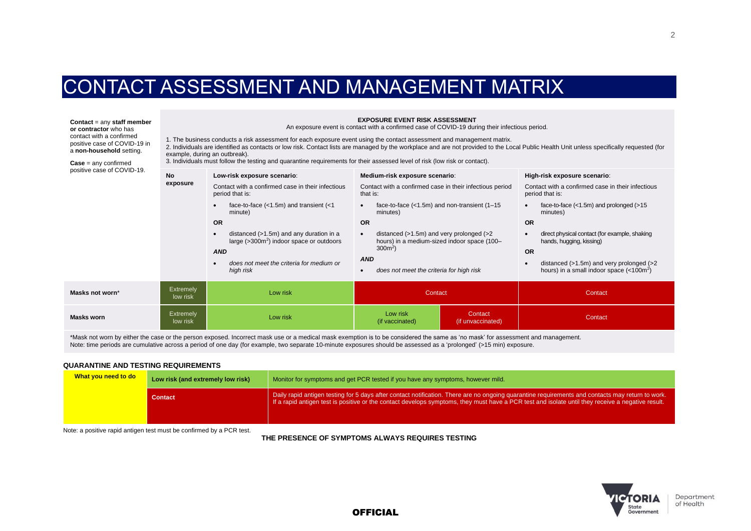### CONTACT ASSESSMENT AND MANAGEMENT MATRIX

**Contact** = any **staff member or contractor** who has contact with a confirmed positive case of COVID-19 in a **non-household** setting.

 $\text{Case} = \text{any confirmed}$ positive

**EXPOSURE EVENT RISK ASSESSMENT**

An exposure event is contact with a confirmed case of COVID-19 during their infectious period.

1. The business conducts a risk assessment for each exposure event using the contact assessment and management matrix.

2. Individuals are identified as contacts or low risk. Contact lists are managed by the workplace and are not provided to the Local Public Health Unit unless specifically requested (for example, during an outbreak).

3. Individuals must follow the testing and quarantine requirements for their assessed level of risk (low risk or contact).

| positive case of COVID-19. | <b>No</b>                    | Low-risk exposure scenario:                                                                                                                                       | Medium-risk exposure scenario:                                                                                                                                                   | High-risk exposure scenario:                                                                                                                                                                                                      |
|----------------------------|------------------------------|-------------------------------------------------------------------------------------------------------------------------------------------------------------------|----------------------------------------------------------------------------------------------------------------------------------------------------------------------------------|-----------------------------------------------------------------------------------------------------------------------------------------------------------------------------------------------------------------------------------|
| exposure                   |                              | Contact with a confirmed case in their infectious<br>period that is:                                                                                              | Contact with a confirmed case in their infectious period<br>that is:                                                                                                             | Contact with a confirmed case in their infectious<br>period that is:                                                                                                                                                              |
|                            |                              | face-to-face $(<1.5m)$ and transient $(<1$<br>minute)                                                                                                             | face-to-face $(<1.5m)$ and non-transient $(1-15)$<br>minutes)                                                                                                                    | face-to-face $(<1.5m)$ and prolonged $(>15$<br>$\bullet$<br>minutes)                                                                                                                                                              |
|                            |                              | <b>OR</b>                                                                                                                                                         | OR                                                                                                                                                                               | <b>OR</b>                                                                                                                                                                                                                         |
|                            |                              | distanced $(>1.5m)$ and any duration in a<br>large $($ >300 $m2)$ indoor space or outdoors<br><b>AND</b><br>does not meet the criteria for medium or<br>high risk | distanced $(>1.5m)$ and very prolonged $(>2$<br>$\bullet$<br>hours) in a medium-sized indoor space (100-<br>$300m^2$ )<br><b>AND</b><br>does not meet the criteria for high risk | direct physical contact (for example, shaking<br>$\bullet$<br>hands, hugging, kissing)<br><b>OR</b><br>distanced $(>1.5m)$ and very prolonged $(>2$<br>$\bullet$<br>hours) in a small indoor space $\left($ < 100m <sup>2</sup> ) |
| Masks not worn*            | <b>Extremely</b><br>low risk | Low risk<br>Contact                                                                                                                                               |                                                                                                                                                                                  | Contact                                                                                                                                                                                                                           |
| <b>Masks worn</b>          | Extremely<br>low risk        | Low risk                                                                                                                                                          | Low risk<br>Contact<br>(if vaccinated)<br>(if unvaccinated)                                                                                                                      | Contact                                                                                                                                                                                                                           |

\*Mask not worn by either the case or the person exposed. Incorrect mask use or a medical mask exemption is to be considered the same as 'no mask' for assessment and management. Note: time periods are cumulative across a period of one day (for example, two separate 10-minute exposures should be assessed as a 'prolonged' (>15 min) exposure.

#### **QUARANTINE AND TESTING REQUIREMENTS**

| What you need to do | Low risk (and extremely low risk) | Monitor for symptoms and get PCR tested if you have any symptoms, however mild.                                                                                                                                                                                                                       |  |
|---------------------|-----------------------------------|-------------------------------------------------------------------------------------------------------------------------------------------------------------------------------------------------------------------------------------------------------------------------------------------------------|--|
|                     | <b>Contact</b>                    | Daily rapid antigen testing for 5 days after contact notification. There are no ongoing quarantine requirements and contacts may return to work.<br>If a rapid antigen test is positive or the contact develops symptoms, they must have a PCR test and isolate until they receive a negative result. |  |

Note: a positive rapid antigen test must be confirmed by a PCR test.

**THE PRESENCE OF SYMPTOMS ALWAYS REQUIRES TESTING**